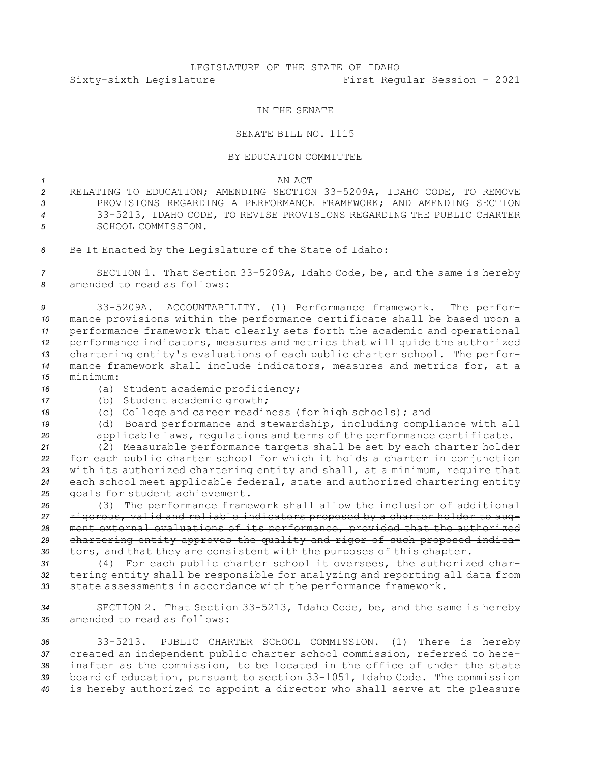# LEGISLATURE OF THE STATE OF IDAHO Sixty-sixth Legislature First Regular Session - 2021

## IN THE SENATE

## SENATE BILL NO. 1115

#### BY EDUCATION COMMITTEE

## *1* AN ACT

- *<sup>2</sup>* RELATING TO EDUCATION; AMENDING SECTION 33-5209A, IDAHO CODE, TO REMOVE *3* PROVISIONS REGARDING A PERFORMANCE FRAMEWORK; AND AMENDING SECTION *<sup>4</sup>* 33-5213, IDAHO CODE, TO REVISE PROVISIONS REGARDING THE PUBLIC CHARTER *5* SCHOOL COMMISSION.
- *<sup>6</sup>* Be It Enacted by the Legislature of the State of Idaho:

*<sup>7</sup>* SECTION 1. That Section 33-5209A, Idaho Code, be, and the same is hereby *8* amended to read as follows:

 33-5209A. ACCOUNTABILITY. (1) Performance framework. The perfor- mance provisions within the performance certificate shall be based upon <sup>a</sup> performance framework that clearly sets forth the academic and operational performance indicators, measures and metrics that will guide the authorized chartering entity's evaluations of each public charter school. The perfor- mance framework shall include indicators, measures and metrics for, at <sup>a</sup> *15* minimum:

*<sup>16</sup>* (a) Student academic proficiency;

- *<sup>17</sup>* (b) Student academic growth;
- *<sup>18</sup>* (c) College and career readiness (for high schools); and
- *<sup>19</sup>* (d) Board performance and stewardship, including compliance with all *<sup>20</sup>* applicable laws, regulations and terms of the performance certificate.

 (2) Measurable performance targets shall be set by each charter holder for each public charter school for which it holds <sup>a</sup> charter in conjunction with its authorized chartering entity and shall, at <sup>a</sup> minimum, require that each school meet applicable federal, state and authorized chartering entity goals for student achievement.

 (3) The performance framework shall allow the inclusion of additional rigorous, valid and reliable indicators proposed by <sup>a</sup> charter holder to aug- ment external evaluations of its performance, provided that the authorized chartering entity approves the quality and rigor of such proposed indica-tors, and that they are consistent with the purposes of this chapter.

*<sup>31</sup>* (4) For each public charter school it oversees, the authorized char-*<sup>32</sup>* tering entity shall be responsible for analyzing and reporting all data from *<sup>33</sup>* state assessments in accordance with the performance framework.

*<sup>34</sup>* SECTION 2. That Section 33-5213, Idaho Code, be, and the same is hereby *35* amended to read as follows:

 33-5213. PUBLIC CHARTER SCHOOL COMMISSION. (1) There is hereby created an independent public charter school commission, referred to here- inafter as the commission, to be located in the office of under the state board of education, pursuant to section 33-1051, Idaho Code. The commission is hereby authorized to appoint <sup>a</sup> director who shall serve at the pleasure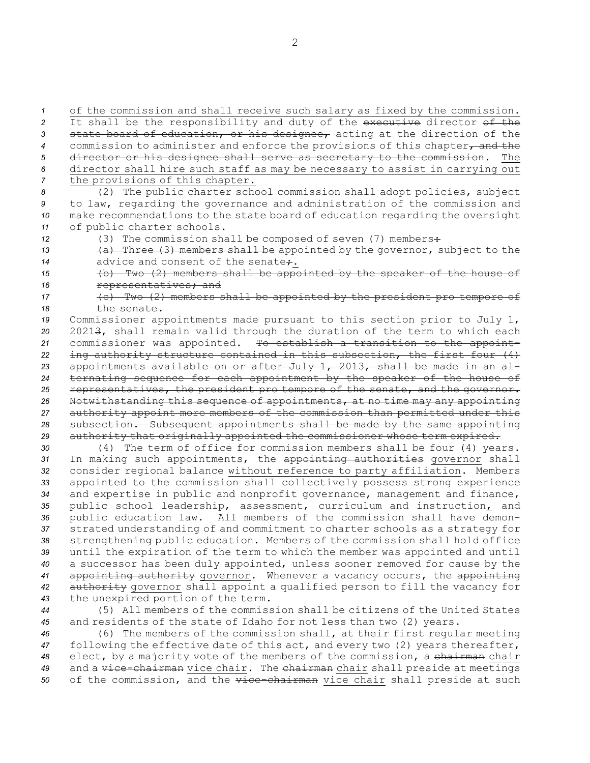of the commission and shall receive such salary as fixed by the commission. It shall be the responsibility and duty of the executive director of the state board of education, or his designee, acting at the direction of the 4 commission to administer and enforce the provisions of this chapter, and the director or his designee shall serve as secretary to the commission. The director shall hire such staff as may be necessary to assist in carrying out the provisions of this chapter.

 (2) The public charter school commission shall adopt policies, subject to law, regarding the governance and administration of the commission and make recommendations to the state board of education regarding the oversight of public charter schools.

*<sup>12</sup>* (3) The commission shall be composed of seven (7) members:

- *<sup>13</sup>* (a) Three (3) members shall be appointed by the governor, subject to the 14 advice and consent of the senate.
- *<sup>15</sup>* (b) Two (2) members shall be appointed by the speaker of the house of 16 **representatives**; and
- *<sup>17</sup>* (c) Two (2) members shall be appointed by the president pro tempore of 18 the senate.

 Commissioner appointments made pursuant to this section prior to July 1, 20213, shall remain valid through the duration of the term to which each commissioner was appointed. To establish <sup>a</sup> transition to the appoint- ing authority structure contained in this subsection, the first four (4) appointments available on or after July 1, 2013, shall be made in an al- ternating sequence for each appointment by the speaker of the house of representatives, the president pro tempore of the senate, and the governor. Notwithstanding this sequence of appointments, at no time may any appointing authority appoint more members of the commission than permitted under this subsection. Subsequent appointments shall be made by the same appointing authority that originally appointed the commissioner whose term expired.

 (4) The term of office for commission members shall be four (4) years. In making such appointments, the appointing authorities governor shall consider regional balance without reference to party affiliation. Members appointed to the commission shall collectively possess strong experience and expertise in public and nonprofit governance, management and finance, public school leadership, assessment, curriculum and instruction, and public education law. All members of the commission shall have demon- strated understanding of and commitment to charter schools as <sup>a</sup> strategy for strengthening public education. Members of the commission shall hold office until the expiration of the term to which the member was appointed and until <sup>a</sup> successor has been duly appointed, unless sooner removed for cause by the appointing authority governor. Whenever <sup>a</sup> vacancy occurs, the appointing authority governor shall appoint <sup>a</sup> qualified person to fill the vacancy for the unexpired portion of the term.

*<sup>44</sup>* (5) All members of the commission shall be citizens of the United States *<sup>45</sup>* and residents of the state of Idaho for not less than two (2) years.

*<sup>46</sup>* (6) The members of the commission shall, at their first regular meeting *<sup>47</sup>* following the effective date of this act, and every two (2) years thereafter, *<sup>48</sup>* elect, by <sup>a</sup> majority vote of the members of the commission, <sup>a</sup> chairman chair 49 and a vice-chairman vice chair. The chairman chair shall preside at meetings 50 of the commission, and the vice-chairman vice chair shall preside at such